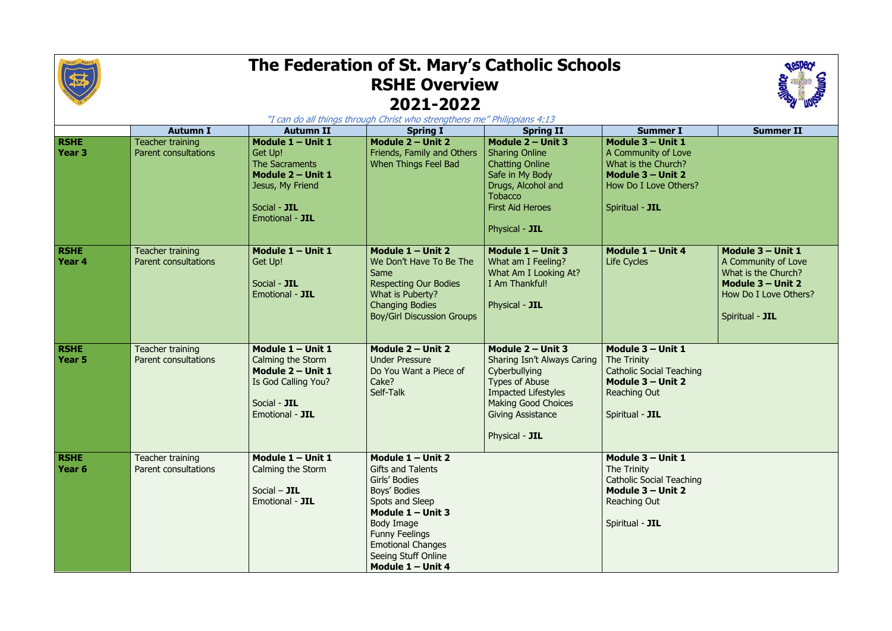

## **The Federation of St. Mary's Catholic Schools RSHE Overview 2021-2022**

|                                  | <b>Autumn I</b>                                 | <b>Autumn II</b>                                                                                                           | "I can do all things through Christ who strengthens me" Philippians 4:13<br><b>Spring I</b>                                                                                                                                                 | <b>Spring II</b>                                                                                                                                                                                       | <b>Summer I</b>                                                                                                                  | <b>Summer II</b>                                                                                                                 |
|----------------------------------|-------------------------------------------------|----------------------------------------------------------------------------------------------------------------------------|---------------------------------------------------------------------------------------------------------------------------------------------------------------------------------------------------------------------------------------------|--------------------------------------------------------------------------------------------------------------------------------------------------------------------------------------------------------|----------------------------------------------------------------------------------------------------------------------------------|----------------------------------------------------------------------------------------------------------------------------------|
| <b>RSHE</b><br><b>Year 3</b>     | Teacher training<br><b>Parent consultations</b> | Module 1 - Unit 1<br>Get Up!<br>The Sacraments<br>Module 2 - Unit 1<br>Jesus, My Friend<br>Social - JIL<br>Emotional - JIL | Module 2 - Unit 2<br>Friends, Family and Others<br>When Things Feel Bad                                                                                                                                                                     | Module 2 - Unit 3<br><b>Sharing Online</b><br><b>Chatting Online</b><br>Safe in My Body<br>Drugs, Alcohol and<br><b>Tobacco</b><br><b>First Aid Heroes</b><br>Physical - JIL                           | Module 3 - Unit 1<br>A Community of Love<br>What is the Church?<br>Module 3 - Unit 2<br>How Do I Love Others?<br>Spiritual - JIL |                                                                                                                                  |
| <b>RSHE</b><br>Year <sub>4</sub> | Teacher training<br>Parent consultations        | Module 1 - Unit 1<br>Get Up!<br>Social - JIL<br>Emotional - JIL                                                            | Module $1 -$ Unit 2<br>We Don't Have To Be The<br>Same<br><b>Respecting Our Bodies</b><br>What is Puberty?<br><b>Changing Bodies</b><br><b>Boy/Girl Discussion Groups</b>                                                                   | Module $1 -$ Unit 3<br>What am I Feeling?<br>What Am I Looking At?<br>I Am Thankful!<br>Physical - JIL                                                                                                 | Module $1 -$ Unit 4<br>Life Cycles                                                                                               | Module 3 - Unit 1<br>A Community of Love<br>What is the Church?<br>Module 3 - Unit 2<br>How Do I Love Others?<br>Spiritual - JIL |
| <b>RSHE</b><br><b>Year 5</b>     | Teacher training<br>Parent consultations        | Module 1 - Unit 1<br>Calming the Storm<br>Module 2 - Unit 1<br>Is God Calling You?<br>Social - JIL<br>Emotional - JIL      | Module 2 - Unit 2<br><b>Under Pressure</b><br>Do You Want a Piece of<br>Cake?<br>Self-Talk                                                                                                                                                  | Module $2 -$ Unit 3<br>Sharing Isn't Always Caring<br>Cyberbullying<br><b>Types of Abuse</b><br><b>Impacted Lifestyles</b><br><b>Making Good Choices</b><br><b>Giving Assistance</b><br>Physical - JIL | Module 3 - Unit 1<br>The Trinity<br><b>Catholic Social Teaching</b><br>Module 3 - Unit 2<br>Reaching Out<br>Spiritual - JIL      |                                                                                                                                  |
| <b>RSHE</b><br>Year 6            | Teacher training<br>Parent consultations        | Module 1 - Unit 1<br>Calming the Storm<br>Social $-$ JIL<br>Emotional - JIL                                                | Module $1 -$ Unit 2<br><b>Gifts and Talents</b><br>Girls' Bodies<br>Boys' Bodies<br>Spots and Sleep<br>Module $1 -$ Unit 3<br>Body Image<br><b>Funny Feelings</b><br><b>Emotional Changes</b><br>Seeing Stuff Online<br>Module $1 -$ Unit 4 |                                                                                                                                                                                                        | Module 3 - Unit 1<br>The Trinity<br><b>Catholic Social Teaching</b><br>Module 3 - Unit 2<br>Reaching Out<br>Spiritual - JIL      |                                                                                                                                  |